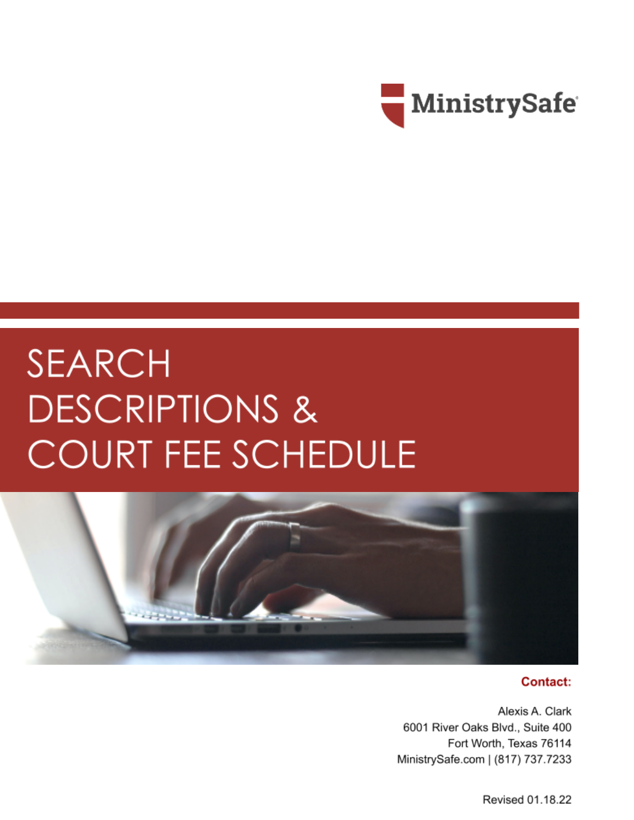

# **SEARCH DESCRIPTIONS & COURT FEE SCHEDULE**



#### Contact:

Alexis A. Clark 6001 River Oaks Blvd., Suite 400 Fort Worth, Texas 76114 MinistrySafe.com | (817) 737.7233

Revised 01.18.22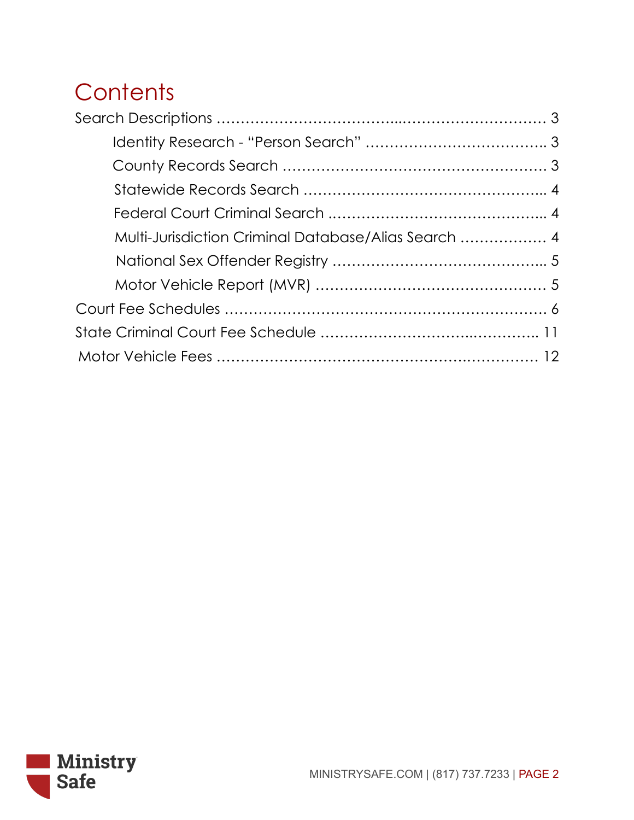# **Contents**

| Multi-Jurisdiction Criminal Database/Alias Search  4 |  |
|------------------------------------------------------|--|
|                                                      |  |
|                                                      |  |
|                                                      |  |
|                                                      |  |
|                                                      |  |

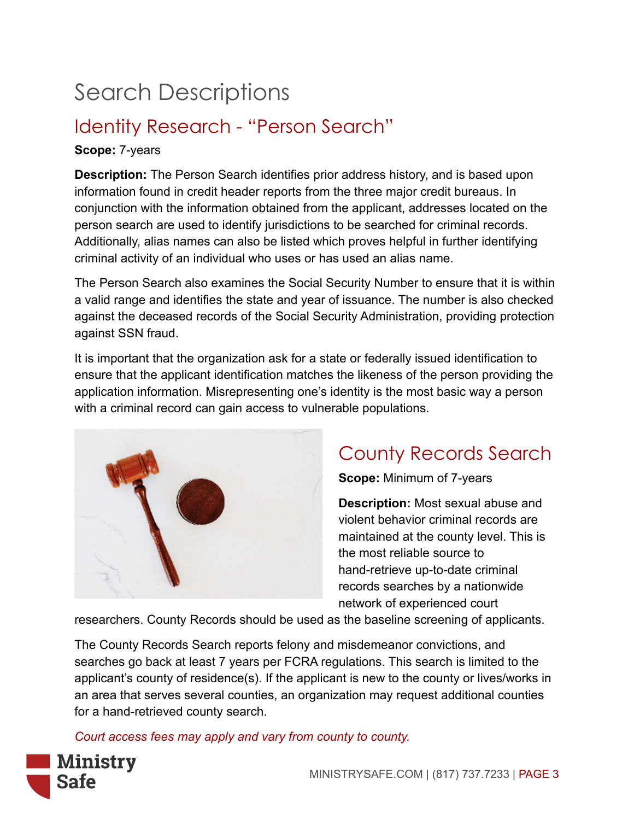# Search Descriptions

### Identity Research - "Person Search"

#### **Scope:** 7-years

**Description:** The Person Search identifies prior address history, and is based upon information found in credit header reports from the three major credit bureaus. In conjunction with the information obtained from the applicant, addresses located on the person search are used to identify jurisdictions to be searched for criminal records. Additionally, alias names can also be listed which proves helpful in further identifying criminal activity of an individual who uses or has used an alias name.

The Person Search also examines the Social Security Number to ensure that it is within a valid range and identifies the state and year of issuance. The number is also checked against the deceased records of the Social Security Administration, providing protection against SSN fraud.

It is important that the organization ask for a state or federally issued identification to ensure that the applicant identification matches the likeness of the person providing the application information. Misrepresenting one's identity is the most basic way a person with a criminal record can gain access to vulnerable populations.



### County Records Search

**Scope:** Minimum of 7-years

**Description:** Most sexual abuse and violent behavior criminal records are maintained at the county level. This is the most reliable source to hand-retrieve up-to-date criminal records searches by a nationwide network of experienced court

researchers. County Records should be used as the baseline screening of applicants.

The County Records Search reports felony and misdemeanor convictions, and searches go back at least 7 years per FCRA regulations. This search is limited to the applicant's county of residence(s). If the applicant is new to the county or lives/works in an area that serves several counties, an organization may request additional counties for a hand-retrieved county search.

*Court access fees may apply and vary from county to county.*

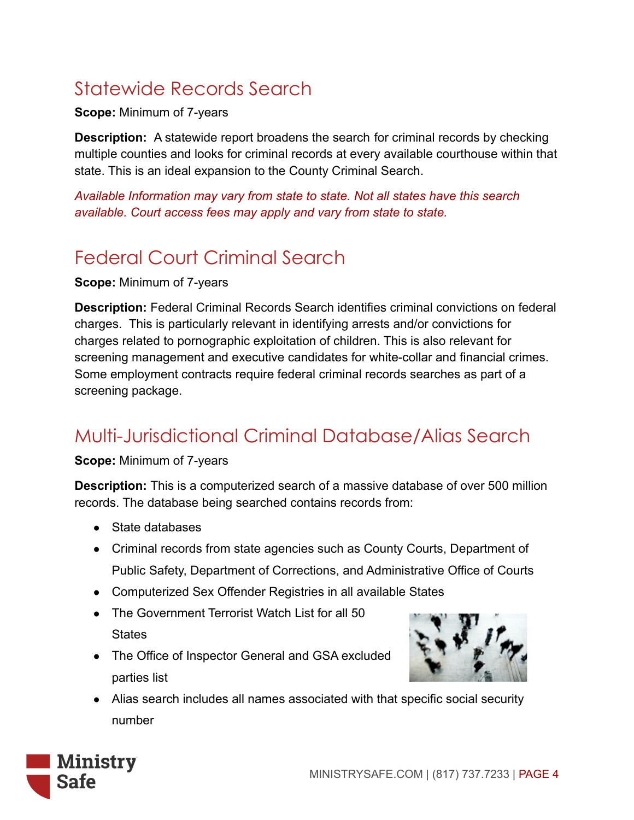### Statewide Records Search

**Scope:** Minimum of 7-years

**Description:** A statewide report broadens the search for criminal records by checking multiple counties and looks for criminal records at every available courthouse within that state. This is an ideal expansion to the County Criminal Search.

*Available Information may vary from state to state. Not all states have this search available. Court access fees may apply and vary from state to state.*

### Federal Court Criminal Search

**Scope:** Minimum of 7-years

**Description:** Federal Criminal Records Search identifies criminal convictions on federal charges. This is particularly relevant in identifying arrests and/or convictions for charges related to pornographic exploitation of children. This is also relevant for screening management and executive candidates for white-collar and financial crimes. Some employment contracts require federal criminal records searches as part of a screening package.

### Multi-Jurisdictional Criminal Database/Alias Search

#### **Scope:** Minimum of 7-years

**Description:** This is a computerized search of a massive database of over 500 million records. The database being searched contains records from:

- State databases
- Criminal records from state agencies such as County Courts, Department of Public Safety, Department of Corrections, and Administrative Office of Courts
- Computerized Sex Offender Registries in all available States
- The Government Terrorist Watch List for all 50 **States**
- The Office of Inspector General and GSA excluded parties list



● Alias search includes all names associated with that specific social security number

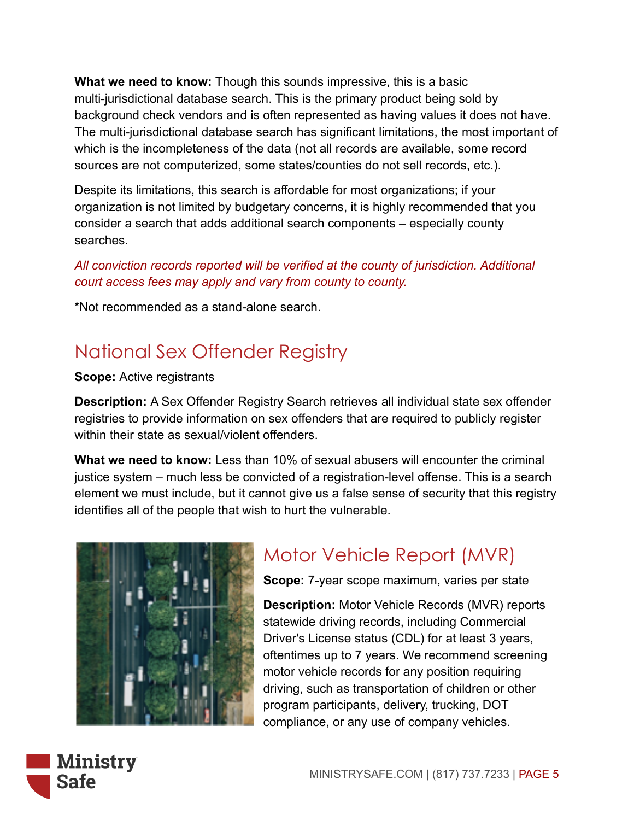**What we need to know:** Though this sounds impressive, this is a basic multi-jurisdictional database search. This is the primary product being sold by background check vendors and is often represented as having values it does not have. The multi-jurisdictional database search has significant limitations, the most important of which is the incompleteness of the data (not all records are available, some record sources are not computerized, some states/counties do not sell records, etc.).

Despite its limitations, this search is affordable for most organizations; if your organization is not limited by budgetary concerns, it is highly recommended that you consider a search that adds additional search components – especially county searches.

*All conviction records reported will be verified at the county of jurisdiction. Additional court access fees may apply and vary from county to county.*

\*Not recommended as a stand-alone search.

### National Sex Offender Registry

#### **Scope:** Active registrants

**Description:** A Sex Offender Registry Search retrieves all individual state sex offender registries to provide information on sex offenders that are required to publicly register within their state as sexual/violent offenders.

**What we need to know:** Less than 10% of sexual abusers will encounter the criminal justice system – much less be convicted of a registration-level offense. This is a search element we must include, but it cannot give us a false sense of security that this registry identifies all of the people that wish to hurt the vulnerable.



### Motor Vehicle Report (MVR)

**Scope:** 7-year scope maximum, varies per state

**Description:** Motor Vehicle Records (MVR) reports statewide driving records, including Commercial Driver's License status (CDL) for at least 3 years, oftentimes up to 7 years. We recommend screening motor vehicle records for any position requiring driving, such as transportation of children or other program participants, delivery, trucking, DOT compliance, or any use of company vehicles.

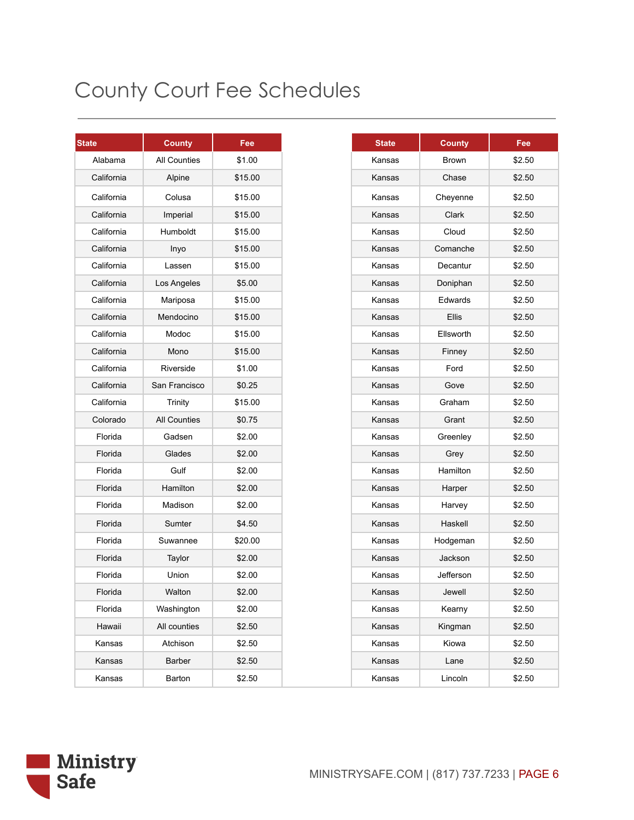| <b>State</b> | <b>County</b>       | Fee     |
|--------------|---------------------|---------|
| Alabama      | <b>All Counties</b> | \$1.00  |
| California   | Alpine              | \$15.00 |
| California   | Colusa              | \$15.00 |
| California   | Imperial            | \$15.00 |
| California   | Humboldt            | \$15.00 |
| California   | Inyo                | \$15.00 |
| California   | Lassen              | \$15.00 |
| California   | Los Angeles         | \$5.00  |
| California   | Mariposa            | \$15.00 |
| California   | Mendocino           | \$15.00 |
| California   | Modoc               | \$15.00 |
| California   | Mono                | \$15.00 |
| California   | Riverside           | \$1.00  |
| California   | San Francisco       | \$0.25  |
| California   | Trinity             | \$15.00 |
| Colorado     | <b>All Counties</b> | \$0.75  |
| Florida      | Gadsen              | \$2.00  |
| Florida      | Glades              | \$2.00  |
| Florida      | Gulf                | \$2.00  |
| Florida      | Hamilton            | \$2.00  |
| Florida      | Madison             | \$2.00  |
| Florida      | Sumter              | \$4.50  |
| Florida      | Suwannee            | \$20.00 |
| Florida      | Taylor              | \$2.00  |
| Florida      | Union               | \$2.00  |
| Florida      | Walton              | \$2.00  |
| Florida      | Washington          | \$2.00  |
| Hawaii       | All counties        | \$2.50  |
| Kansas       | Atchison            | \$2.50  |
| Kansas       | Barber              | \$2.50  |
| Kansas       | Barton              | \$2.50  |

|               | <b>County</b>       | Fee     |
|---------------|---------------------|---------|
| <b>Nabama</b> | <b>All Counties</b> | \$1.00  |
| California    | Alpine              | \$15.00 |
| California    | Colusa              | \$15.00 |
| California    | Imperial            | \$15.00 |
| California    | Humboldt            | \$15.00 |
| California    | Inyo                | \$15.00 |
| California    | Lassen              | \$15.00 |
| California    | Los Angeles         | \$5.00  |
| California    | Mariposa            | \$15.00 |
| California    | Mendocino           | \$15.00 |
| alifornia     | Modoc               | \$15.00 |
| california    | Mono                | \$15.00 |
| California    | Riverside           | \$1.00  |
| California    | San Francisco       | \$0.25  |
| alifornia     | Trinity             | \$15.00 |
| Colorado      | <b>All Counties</b> | \$0.75  |
| Florida       | Gadsen              | \$2.00  |
| Florida       | Glades              | \$2.00  |
| Florida       | Gulf                | \$2.00  |
| Florida       | Hamilton            | \$2.00  |
| Florida       | Madison             | \$2.00  |
| Florida       | Sumter              | \$4.50  |
| Florida       | Suwannee            | \$20.00 |
| Florida       | Taylor              | \$2.00  |
| Florida       | Union               | \$2.00  |
| Florida       | Walton              | \$2.00  |
| Florida       | Washington          | \$2.00  |
| Hawaii        | All counties        | \$2.50  |
| Kansas        | Atchison            | \$2.50  |
| Kansas        | <b>Barber</b>       | \$2.50  |
| Kansas        | Barton              | \$2.50  |

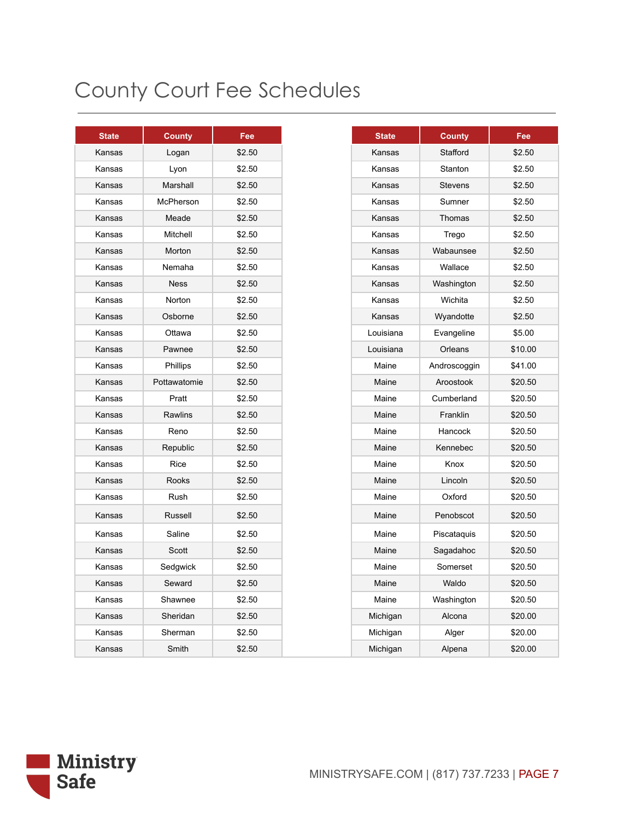| <b>State</b> | <b>County</b> | Fee    |
|--------------|---------------|--------|
| Kansas       | Logan         | \$2.50 |
| Kansas       | Lyon          | \$2.50 |
| Kansas       | Marshall      | \$2.50 |
| Kansas       | McPherson     | \$2.50 |
| Kansas       | Meade         | \$2.50 |
| Kansas       | Mitchell      | \$2.50 |
| Kansas       | Morton        | \$2.50 |
| Kansas       | Nemaha        | \$2.50 |
| Kansas       | <b>Ness</b>   | \$2.50 |
| Kansas       | Norton        | \$2.50 |
| Kansas       | Osborne       | \$2.50 |
| Kansas       | Ottawa        | \$2.50 |
| Kansas       | Pawnee        | \$2.50 |
| Kansas       | Phillips      | \$2.50 |
| Kansas       | Pottawatomie  | \$2.50 |
| Kansas       | Pratt         | \$2.50 |
| Kansas       | Rawlins       | \$2.50 |
| Kansas       | Reno          | \$2.50 |
| Kansas       | Republic      | \$2.50 |
| Kansas       | Rice          | \$2.50 |
| Kansas       | Rooks         | \$2.50 |
| Kansas       | <b>Rush</b>   | \$2.50 |
| Kansas       | Russell       | \$2.50 |
| Kansas       | Saline        | \$2.50 |
| Kansas       | Scott         | \$2.50 |
| Kansas       | Sedgwick      | \$2.50 |
| Kansas       | Seward        | \$2.50 |
| Kansas       | Shawnee       | \$2.50 |
| Kansas       | Sheridan      | \$2.50 |
| Kansas       | Sherman       | \$2.50 |
| Kansas       | Smith         | \$2.50 |

| <b>State</b> | <b>County</b> | Fee    |
|--------------|---------------|--------|
| Kansas       | Logan         | \$2.50 |
| Kansas       | Lyon          | \$2.50 |
| Kansas       | Marshall      | \$2.50 |
| Kansas       | McPherson     | \$2.50 |
| Kansas       | Meade         | \$2.50 |
| Kansas       | Mitchell      | \$2.50 |
| Kansas       | Morton        | \$2.50 |
| Kansas       | Nemaha        | \$2.50 |
| Kansas       | <b>Ness</b>   | \$2.50 |
| Kansas       | Norton        | \$2.50 |
| Kansas       | Osborne       | \$2.50 |
| Kansas       | Ottawa        | \$2.50 |
| Kansas       | Pawnee        | \$2.50 |
| Kansas       | Phillips      | \$2.50 |
| Kansas       | Pottawatomie  | \$2.50 |
| Kansas       | Pratt         | \$2.50 |
| Kansas       | Rawlins       | \$2.50 |
| Kansas       | Reno          | \$2.50 |
| Kansas       | Republic      | \$2.50 |
| Kansas       | Rice          | \$2.50 |
| Kansas       | Rooks         | \$2.50 |
| Kansas       | Rush          | \$2.50 |
| Kansas       | Russell       | \$2.50 |
| Kansas       | Saline        | \$2.50 |
| Kansas       | Scott         | \$2.50 |
| Kansas       | Sedgwick      | \$2.50 |
| Kansas       | Seward        | \$2.50 |
| Kansas       | Shawnee       | \$2.50 |
| Kansas       | Sheridan      | \$2.50 |
| Kansas       | Sherman       | \$2.50 |
| Kansas       | Smith         | \$2.50 |
|              |               |        |

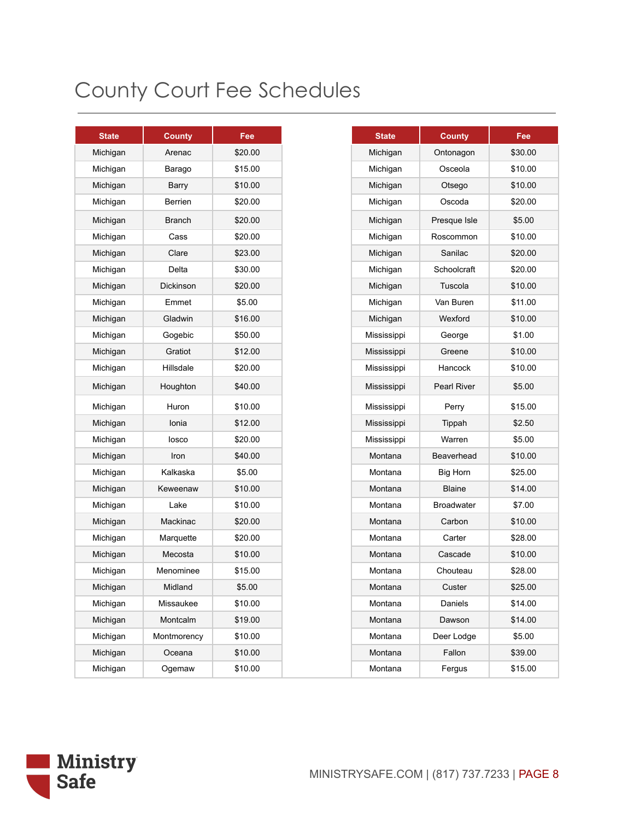| <b>State</b> | <b>County</b> | Fee     |
|--------------|---------------|---------|
| Michigan     | Arenac        | \$20.00 |
| Michigan     | Barago        | \$15.00 |
| Michigan     | Barry         | \$10.00 |
| Michigan     | Berrien       | \$20.00 |
| Michigan     | <b>Branch</b> | \$20.00 |
| Michigan     | Cass          | \$20.00 |
| Michigan     | Clare         | \$23.00 |
| Michigan     | Delta         | \$30.00 |
| Michigan     | Dickinson     | \$20.00 |
| Michigan     | Emmet         | \$5.00  |
| Michigan     | Gladwin       | \$16.00 |
| Michigan     | Gogebic       | \$50.00 |
| Michigan     | Gratiot       | \$12.00 |
| Michigan     | Hillsdale     | \$20.00 |
| Michigan     | Houghton      | \$40.00 |
| Michigan     | Huron         | \$10.00 |
| Michigan     | Ionia         | \$12.00 |
| Michigan     | losco         | \$20.00 |
| Michigan     | Iron          | \$40.00 |
| Michigan     | Kalkaska      | \$5.00  |
| Michigan     | Keweenaw      | \$10.00 |
| Michigan     | Lake          | \$10.00 |
| Michigan     | Mackinac      | \$20.00 |
| Michigan     | Marquette     | \$20.00 |
| Michigan     | Mecosta       | \$10.00 |
| Michigan     | Menominee     | \$15.00 |
| Michigan     | Midland       | \$5.00  |
| Michigan     | Missaukee     | \$10.00 |
| Michigan     | Montcalm      | \$19.00 |
| Michigan     | Montmorency   | \$10.00 |
| Michigan     | Oceana        | \$10.00 |
| Michigan     | Ogemaw        | \$10.00 |

| <b>State</b> | <b>County</b>      | Fee     |
|--------------|--------------------|---------|
| Michigan     | Ontonagon          | \$30.00 |
| Michigan     | Osceola            | \$10.00 |
| Michigan     | Otsego             | \$10.00 |
| Michigan     | Oscoda             | \$20.00 |
| Michigan     | Presque Isle       | \$5.00  |
| Michigan     | Roscommon          | \$10.00 |
| Michigan     | Sanilac            | \$20.00 |
| Michigan     | Schoolcraft        | \$20.00 |
| Michigan     | Tuscola            | \$10.00 |
| Michigan     | Van Buren          | \$11.00 |
| Michigan     | Wexford            | \$10.00 |
| Mississippi  | George             | \$1.00  |
| Mississippi  | Greene             | \$10.00 |
| Mississippi  | Hancock            | \$10.00 |
| Mississippi  | <b>Pearl River</b> | \$5.00  |
| Mississippi  | Perry              | \$15.00 |
| Mississippi  | Tippah             | \$2.50  |
| Mississippi  | Warren             | \$5.00  |
| Montana      | Beaverhead         | \$10.00 |
| Montana      | <b>Big Horn</b>    | \$25.00 |
| Montana      | <b>Blaine</b>      | \$14.00 |
| Montana      | <b>Broadwater</b>  | \$7.00  |
| Montana      | Carbon             | \$10.00 |
| Montana      | Carter             | \$28.00 |
| Montana      | Cascade            | \$10.00 |
| Montana      | Chouteau           | \$28.00 |
| Montana      | Custer             | \$25.00 |
| Montana      | Daniels            | \$14.00 |
| Montana      | Dawson             | \$14.00 |
| Montana      | Deer Lodge         | \$5.00  |
| Montana      | Fallon             | \$39.00 |
| Montana      | Fergus             | \$15.00 |

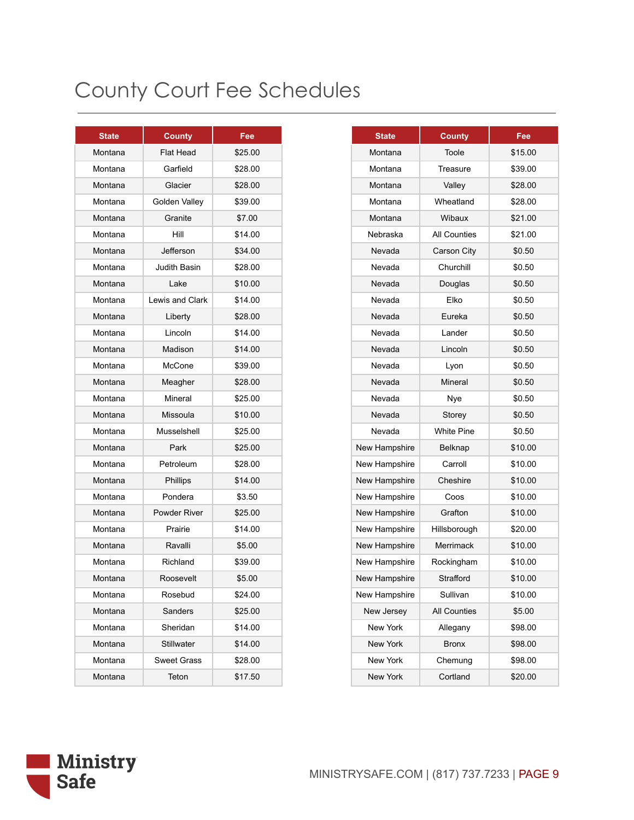| <b>State</b> | <b>County</b>      | Fee     |
|--------------|--------------------|---------|
| Montana      | Flat Head          | \$25.00 |
| Montana      | Garfield           | \$28.00 |
| Montana      | Glacier            | \$28.00 |
| Montana      | Golden Valley      | \$39.00 |
| Montana      | Granite            | \$7.00  |
| Montana      | Hill               | \$14.00 |
| Montana      | Jefferson          | \$34.00 |
| Montana      | Judith Basin       | \$28.00 |
| Montana      | Lake               | \$10.00 |
| Montana      | Lewis and Clark    | \$14.00 |
| Montana      | Liberty            | \$28.00 |
| Montana      | Lincoln            | \$14.00 |
| Montana      | Madison            | \$14.00 |
| Montana      | McCone             | \$39.00 |
| Montana      | Meagher            | \$28.00 |
| Montana      | Mineral            | \$25.00 |
| Montana      | Missoula           | \$10.00 |
| Montana      | Musselshell        | \$25.00 |
| Montana      | Park               | \$25.00 |
| Montana      | Petroleum          | \$28.00 |
| Montana      | Phillips           | \$14.00 |
| Montana      | Pondera            | \$3.50  |
| Montana      | Powder River       | \$25.00 |
| Montana      | Prairie            | \$14.00 |
| Montana      | Ravalli            | \$5.00  |
| Montana      | Richland           | \$39.00 |
| Montana      | Roosevelt          | \$5.00  |
| Montana      | Rosebud            | \$24.00 |
| Montana      | Sanders            | \$25.00 |
| Montana      | Sheridan           | \$14.00 |
| Montana      | Stillwater         | \$14.00 |
| Montana      | <b>Sweet Grass</b> | \$28.00 |
| Montana      | Teton              | \$17.50 |
|              |                    |         |

| <b>State</b> | <b>County</b>      | Fee     |
|--------------|--------------------|---------|
| Montana      | Flat Head          | \$25.00 |
| Montana      | Garfield           | \$28.00 |
| Montana      | Glacier            | \$28.00 |
| Montana      | Golden Valley      | \$39.00 |
| Montana      | Granite            | \$7.00  |
| Montana      | Hill               | \$14.00 |
| Montana      | Jefferson          | \$34.00 |
| Montana      | Judith Basin       | \$28.00 |
| Montana      | Lake               | \$10.00 |
| Montana      | Lewis and Clark    | \$14.00 |
| Montana      | Liberty            | \$28.00 |
| Montana      | Lincoln            | \$14.00 |
| Montana      | Madison            | \$14.00 |
| Montana      | McCone             | \$39.00 |
| Montana      | Meagher            | \$28.00 |
| Montana      | Mineral            | \$25.00 |
| Montana      | Missoula           | \$10.00 |
| Montana      | Musselshell        | \$25.00 |
| Montana      | Park               | \$25.00 |
| Montana      | Petroleum          | \$28.00 |
| Montana      | <b>Phillips</b>    | \$14.00 |
| Montana      | Pondera            | \$3.50  |
| Montana      | Powder River       | \$25.00 |
| Montana      | Prairie            | \$14.00 |
| Montana      | Ravalli            | \$5.00  |
| Montana      | Richland           | \$39.00 |
| Montana      | Roosevelt          | \$5.00  |
| Montana      | Rosebud            | \$24.00 |
| Montana      | Sanders            | \$25.00 |
| Montana      | Sheridan           | \$14.00 |
| Montana      | Stillwater         | \$14.00 |
| Montana      | <b>Sweet Grass</b> | \$28.00 |
| Montana      | Teton              | \$17.50 |

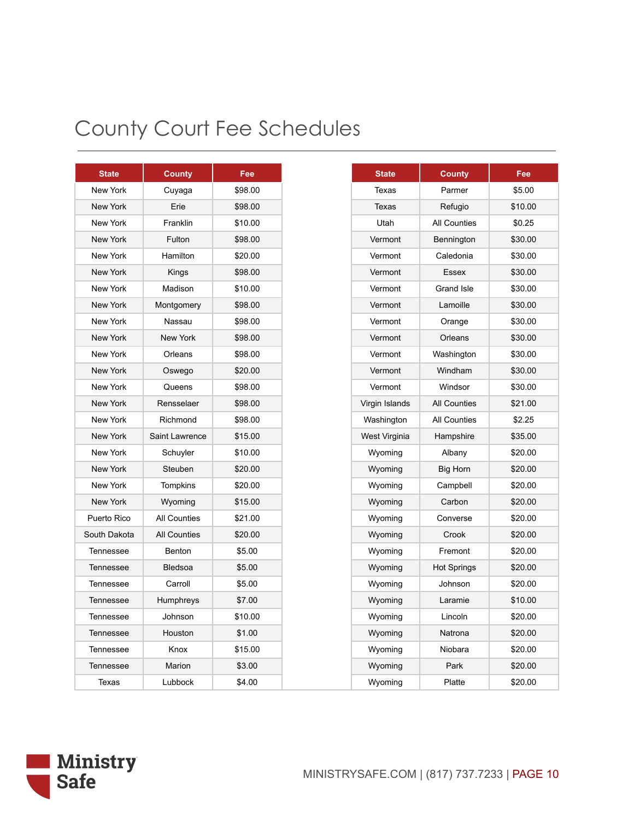| <b>State</b>    | <b>County</b>       | Fee     |
|-----------------|---------------------|---------|
| <b>New York</b> | Cuyaga              | \$98.00 |
| New York        | Erie                | \$98.00 |
| New York        | Franklin            | \$10.00 |
| <b>New York</b> | Fulton              | \$98.00 |
| New York        | Hamilton            | \$20.00 |
| New York        | Kings               | \$98.00 |
| New York        | Madison             | \$10.00 |
| <b>New York</b> | Montgomery          | \$98.00 |
| New York        | Nassau              | \$98.00 |
| <b>New York</b> | <b>New York</b>     | \$98.00 |
| New York        | Orleans             | \$98.00 |
| <b>New York</b> | Oswego              | \$20.00 |
| New York        | Queens              | \$98.00 |
| <b>New York</b> | Rensselaer          | \$98.00 |
| New York        | Richmond            | \$98.00 |
| New York        | Saint Lawrence      | \$15.00 |
| New York        | Schuyler            | \$10.00 |
| <b>New York</b> | Steuben             | \$20.00 |
| New York        | Tompkins            | \$20.00 |
| New York        | Wyoming             | \$15.00 |
| Puerto Rico     | <b>All Counties</b> | \$21.00 |
| South Dakota    | <b>All Counties</b> | \$20.00 |
| Tennessee       | Benton              | \$5.00  |
| Tennessee       | <b>Bledsoa</b>      | \$5.00  |
| Tennessee       | Carroll             | \$5.00  |
| Tennessee       | Humphreys           | \$7.00  |
| Tennessee       | Johnson             | \$10.00 |
| Tennessee       | Houston             | \$1.00  |
| Tennessee       | Knox                | \$15.00 |
| Tennessee       | Marion              | \$3.00  |
| Texas           | Lubbock             | \$4.00  |

| <b>State</b> | County              | Fee     |
|--------------|---------------------|---------|
| ew York      | Cuyaga              | \$98.00 |
| ew York      | Erie                | \$98.00 |
| ew York      | Franklin            | \$10.00 |
| ew York      | Fulton              | \$98.00 |
| ew York      | Hamilton            | \$20.00 |
| ew York      | Kings               | \$98.00 |
| ew York      | Madison             | \$10.00 |
| ew York      | Montgomery          | \$98.00 |
| ew York      | Nassau              | \$98.00 |
| ew York      | New York            | \$98.00 |
| ew York      | Orleans             | \$98.00 |
| ew York      | Oswego              | \$20.00 |
| ew York      | Queens              | \$98.00 |
| ew York      | Rensselaer          | \$98.00 |
| ew York      | Richmond            | \$98.00 |
| ew York      | Saint Lawrence      | \$15.00 |
| ew York      | Schuyler            | \$10.00 |
| ew York      | Steuben             | \$20.00 |
| ew York      | Tompkins            | \$20.00 |
| ew York      | Wyoming             | \$15.00 |
| erto Rico    | <b>All Counties</b> | \$21.00 |
| th Dakota    | <b>All Counties</b> | \$20.00 |
| nnessee      | Benton              | \$5.00  |
| nnessee      | Bledsoa             | \$5.00  |
| nnessee      | Carroll             | \$5.00  |
| nnessee      | Humphreys           | \$7.00  |
| nnessee      | Johnson             | \$10.00 |
| nnessee      | Houston             | \$1.00  |
| nnessee      | Knox                | \$15.00 |
| nnessee      | Marion              | \$3.00  |
| Texas        | Lubbock             | \$4.00  |

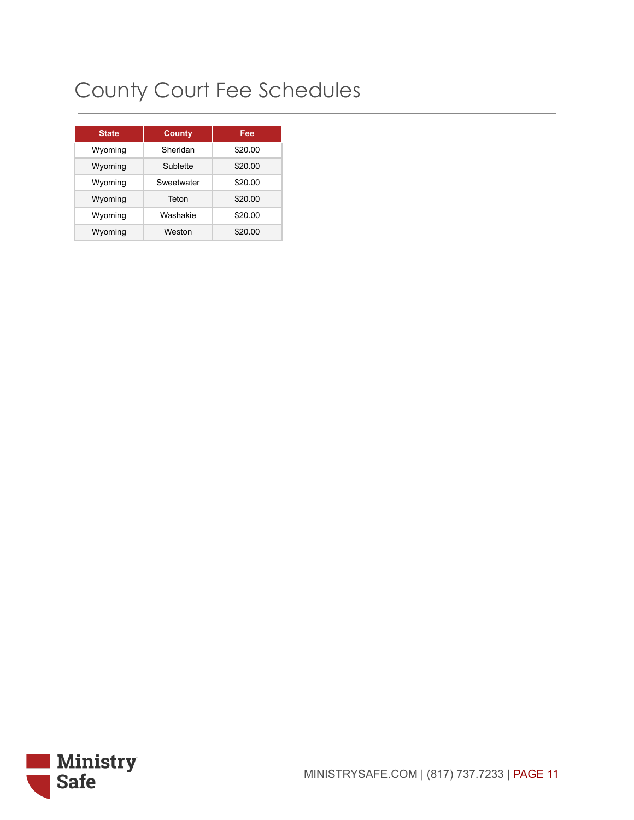| <b>State</b> | <b>County</b> | Fee     |
|--------------|---------------|---------|
| Wyoming      | Sheridan      | \$20.00 |
| Wyoming      | Sublette      | \$20.00 |
| Wyoming      | Sweetwater    | \$20.00 |
| Wyoming      | Teton         | \$20.00 |
| Wyoming      | Washakie      | \$20.00 |
| Wyoming      | Weston        | \$20.00 |

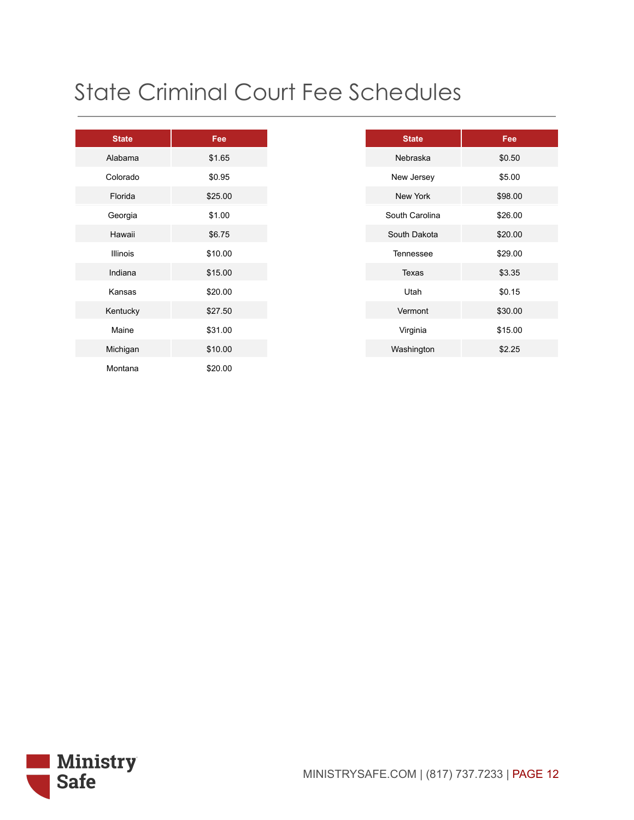# State Criminal Court Fee Schedules

| <b>State</b> | Fee     |
|--------------|---------|
| Alabama      | \$1.65  |
| Colorado     | \$0.95  |
| Florida      | \$25.00 |
| Georgia      | \$1.00  |
| Hawaii       | \$6.75  |
| Illinois     | \$10.00 |
| Indiana      | \$15.00 |
| Kansas       | \$20.00 |
| Kentucky     | \$27.50 |
| Maine        | \$31.00 |
| Michigan     | \$10.00 |
| Montana      | \$20.00 |